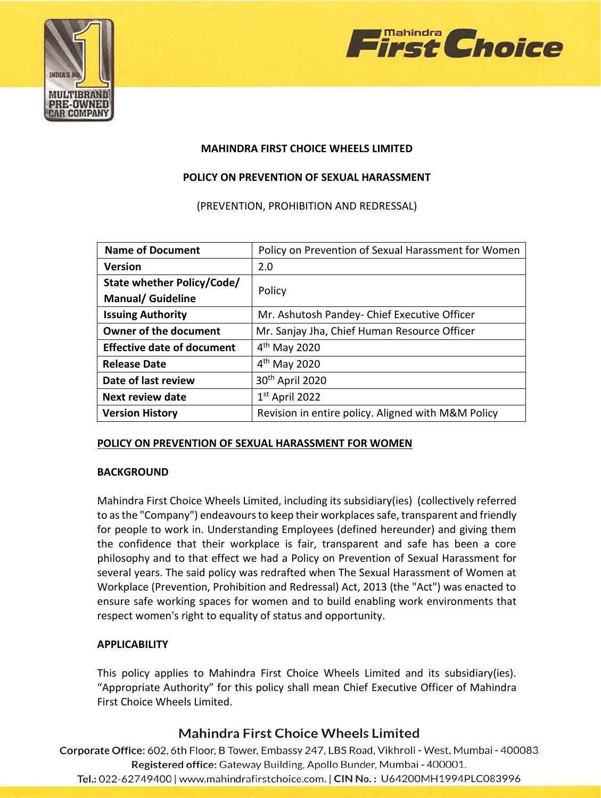



### **MAHINDRA FIRST CHOICE WHEELS LIMITED**

### **POLICY ON PREVENTION OF SEXUAL HARASSMENT**

(PREVENTION, PROHIBITION AND REDRESSAL)

| <b>Name of Document</b>           | Policy on Prevention of Sexual Harassment for Women |
|-----------------------------------|-----------------------------------------------------|
| <b>Version</b>                    | 2.0                                                 |
| State whether Policy/Code/        |                                                     |
| <b>Manual/ Guideline</b>          | Policy                                              |
| <b>Issuing Authority</b>          | Mr. Ashutosh Pandey- Chief Executive Officer        |
| Owner of the document             | Mr. Sanjay Jha, Chief Human Resource Officer        |
| <b>Effective date of document</b> | $4th$ May 2020                                      |
| <b>Release Date</b>               | $4th$ May 2020                                      |
| Date of last review               | 30 <sup>th</sup> April 2020                         |
| Next review date                  | $1st$ April 2022                                    |
| <b>Version History</b>            | Revision in entire policy. Aligned with M&M Policy  |

#### **POLICY ON PREVENTION OF SEXUAL HARASSMENT FOR WOMEN**

#### **BACKGROUND**

Mahindra First Choice Wheels Limited, including its subsidiary(ies) (collectively referred to as the "Company") endeavours to keep their workplaces safe, transparent and friendly for people to work in. Understanding Employees (defined hereunder) and giving them the confidence that their workplace is fair, transparent and safe has been a core philosophy and to that effect we had a Policy on Prevention of Sexual Harassment for several years. The said policy was redrafted when The Sexual Harassment of Women at Workplace (Prevention, Prohibition and Redressal) Act, 2013 (the "Act") was enacted to ensure safe working spaces for women and to build enabling work environments that respect women's right to equality of status and opportunity.

### **APPLICABILITY**

This policy applies to Mahindra First Choice Wheels Limited and its subsidiary(ies). "Appropriate Authority" for this policy shall mean Chief Executive Officer of Mahindra First Choice Wheels Limited.

# Mahindra First Choice Wheels Limited

Corporate Office: 602, 6th Floor, B Tower, Embassy 247, LBS Road, Vikhroli - West, Mumbai - 400083 Registered office: Gateway Building, Apollo Bunder, Mumbai - 400001.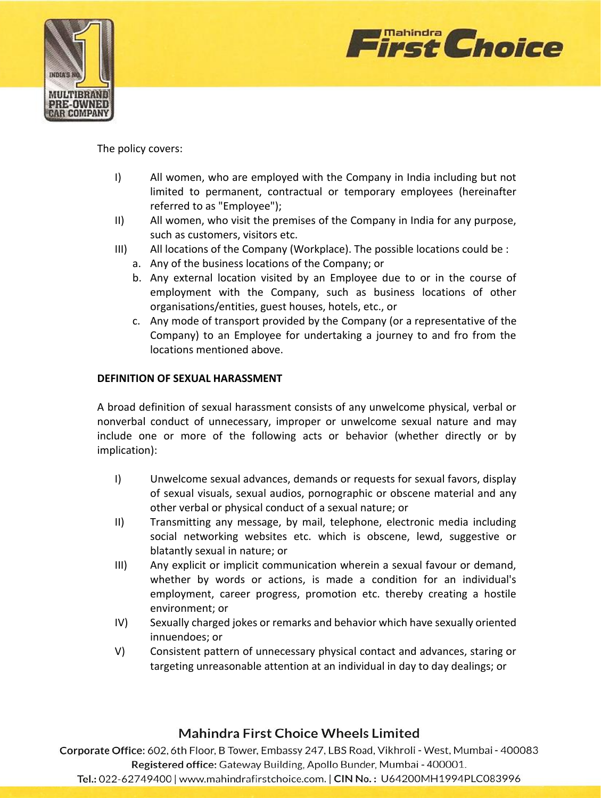



The policy covers:

- I) All women, who are employed with the Company in India including but not limited to permanent, contractual or temporary employees (hereinafter referred to as "Employee");
- II) All women, who visit the premises of the Company in India for any purpose, such as customers, visitors etc.
- III) All locations of the Company (Workplace). The possible locations could be :
	- a. Any of the business locations of the Company; or
	- b. Any external location visited by an Employee due to or in the course of employment with the Company, such as business locations of other organisations/entities, guest houses, hotels, etc., or
	- c. Any mode of transport provided by the Company (or a representative of the Company) to an Employee for undertaking a journey to and fro from the locations mentioned above.

### **DEFINITION OF SEXUAL HARASSMENT**

A broad definition of sexual harassment consists of any unwelcome physical, verbal or nonverbal conduct of unnecessary, improper or unwelcome sexual nature and may include one or more of the following acts or behavior (whether directly or by implication):

- I) Unwelcome sexual advances, demands or requests for sexual favors, display of sexual visuals, sexual audios, pornographic or obscene material and any other verbal or physical conduct of a sexual nature; or
- II) Transmitting any message, by mail, telephone, electronic media including social networking websites etc. which is obscene, lewd, suggestive or blatantly sexual in nature; or
- III) Any explicit or implicit communication wherein a sexual favour or demand, whether by words or actions, is made a condition for an individual's employment, career progress, promotion etc. thereby creating a hostile environment; or
- IV) Sexually charged jokes or remarks and behavior which have sexually oriented innuendoes; or
- V) Consistent pattern of unnecessary physical contact and advances, staring or targeting unreasonable attention at an individual in day to day dealings; or

# Mahindra First Choice Wheels Limited

Corporate Office: 602, 6th Floor, B Tower, Embassy 247, LBS Road, Vikhroli - West, Mumbai - 400083 Registered office: Gateway Building, Apollo Bunder, Mumbai - 400001.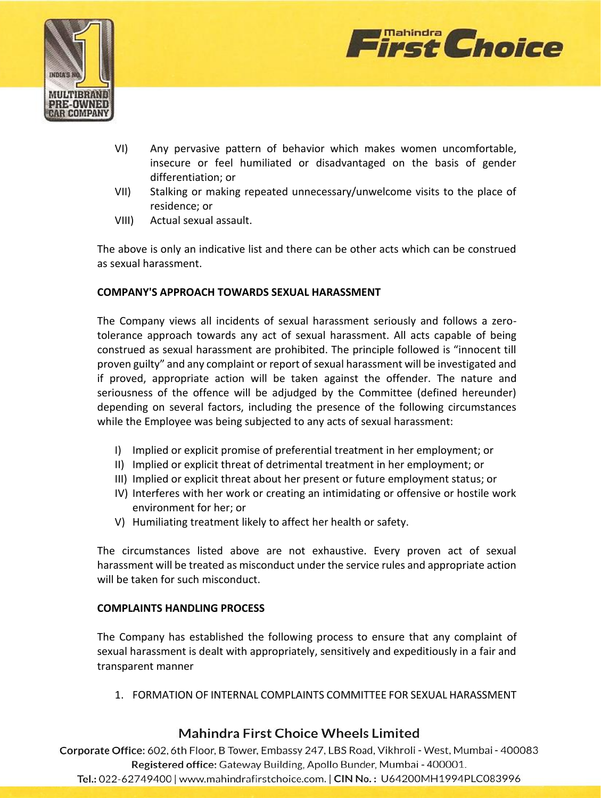



- VI) Any pervasive pattern of behavior which makes women uncomfortable, insecure or feel humiliated or disadvantaged on the basis of gender differentiation; or
- VII) Stalking or making repeated unnecessary/unwelcome visits to the place of residence; or
- VIII) Actual sexual assault.

The above is only an indicative list and there can be other acts which can be construed as sexual harassment.

### **COMPANY'S APPROACH TOWARDS SEXUAL HARASSMENT**

The Company views all incidents of sexual harassment seriously and follows a zerotolerance approach towards any act of sexual harassment. All acts capable of being construed as sexual harassment are prohibited. The principle followed is "innocent till proven guilty" and any complaint or report of sexual harassment will be investigated and if proved, appropriate action will be taken against the offender. The nature and seriousness of the offence will be adjudged by the Committee (defined hereunder) depending on several factors, including the presence of the following circumstances while the Employee was being subjected to any acts of sexual harassment:

- I) Implied or explicit promise of preferential treatment in her employment; or
- II) Implied or explicit threat of detrimental treatment in her employment; or
- III) Implied or explicit threat about her present or future employment status; or
- IV) Interferes with her work or creating an intimidating or offensive or hostile work environment for her; or
- V) Humiliating treatment likely to affect her health or safety.

The circumstances listed above are not exhaustive. Every proven act of sexual harassment will be treated as misconduct under the service rules and appropriate action will be taken for such misconduct.

### **COMPLAINTS HANDLING PROCESS**

The Company has established the following process to ensure that any complaint of sexual harassment is dealt with appropriately, sensitively and expeditiously in a fair and transparent manner

1. FORMATION OF INTERNAL COMPLAINTS COMMITTEE FOR SEXUAL HARASSMENT

# Mahindra First Choice Wheels Limited

Corporate Office: 602, 6th Floor, B Tower, Embassy 247, LBS Road, Vikhroli - West, Mumbai - 400083 Registered office: Gateway Building, Apollo Bunder, Mumbai - 400001.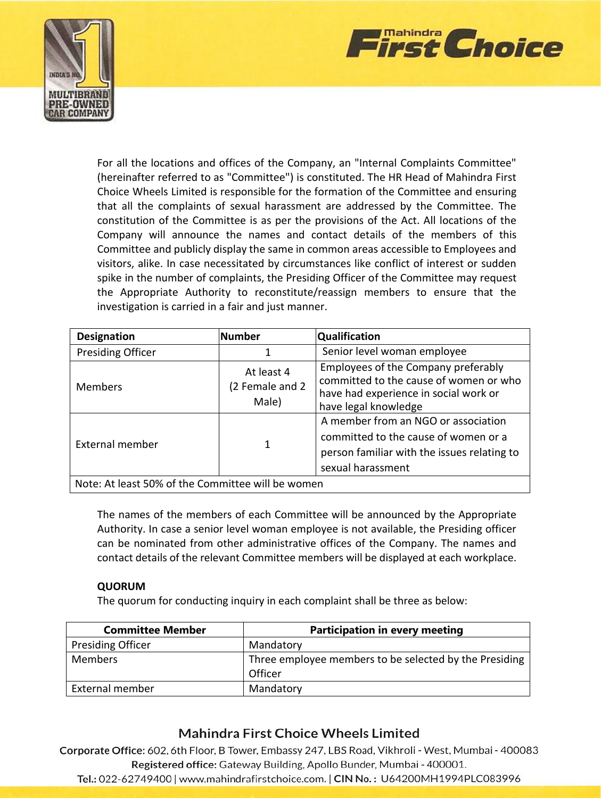



For all the locations and offices of the Company, an "Internal Complaints Committee" (hereinafter referred to as "Committee") is constituted. The HR Head of Mahindra First Choice Wheels Limited is responsible for the formation of the Committee and ensuring that all the complaints of sexual harassment are addressed by the Committee. The constitution of the Committee is as per the provisions of the Act. All locations of the Company will announce the names and contact details of the members of this Committee and publicly display the same in common areas accessible to Employees and visitors, alike. In case necessitated by circumstances like conflict of interest or sudden spike in the number of complaints, the Presiding Officer of the Committee may request the Appropriate Authority to reconstitute/reassign members to ensure that the investigation is carried in a fair and just manner.

| Designation                                       | <b>Number</b>                          | <b>Qualification</b>                                                                                                                            |
|---------------------------------------------------|----------------------------------------|-------------------------------------------------------------------------------------------------------------------------------------------------|
| <b>Presiding Officer</b>                          |                                        | Senior level woman employee                                                                                                                     |
| <b>Members</b>                                    | At least 4<br>(2 Female and 2<br>Male) | Employees of the Company preferably<br>committed to the cause of women or who<br>have had experience in social work or<br>have legal knowledge  |
| External member                                   |                                        | A member from an NGO or association<br>committed to the cause of women or a<br>person familiar with the issues relating to<br>sexual harassment |
| Note: At least 50% of the Committee will be women |                                        |                                                                                                                                                 |

Note: At least 50% of the Committee will be women

The names of the members of each Committee will be announced by the Appropriate Authority. In case a senior level woman employee is not available, the Presiding officer can be nominated from other administrative offices of the Company. The names and contact details of the relevant Committee members will be displayed at each workplace.

#### **QUORUM**

The quorum for conducting inquiry in each complaint shall be three as below:

| <b>Committee Member</b>  | <b>Participation in every meeting</b>                             |
|--------------------------|-------------------------------------------------------------------|
| <b>Presiding Officer</b> | Mandatory                                                         |
| <b>Members</b>           | Three employee members to be selected by the Presiding<br>Officer |
| External member          | Mandatory                                                         |

# **Mahindra First Choice Wheels Limited**

Corporate Office: 602, 6th Floor, B Tower, Embassy 247, LBS Road, Vikhroli - West, Mumbai - 400083 Registered office: Gateway Building, Apollo Bunder, Mumbai - 400001.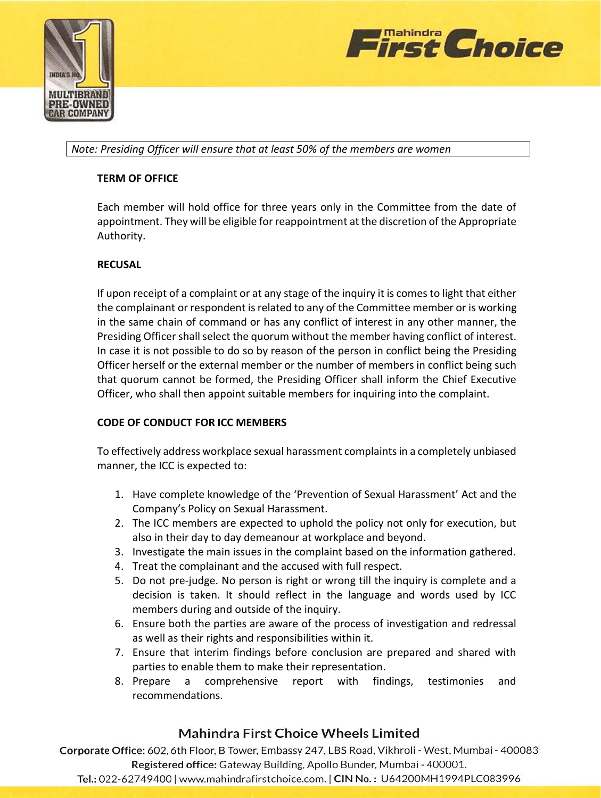



*Note: Presiding Officer will ensure that at least 50% of the members are women*

### **TERM OF OFFICE**

Each member will hold office for three years only in the Committee from the date of appointment. They will be eligible for reappointment at the discretion of the Appropriate Authority.

### **RECUSAL**

If upon receipt of a complaint or at any stage of the inquiry it is comes to light that either the complainant or respondent is related to any of the Committee member or is working in the same chain of command or has any conflict of interest in any other manner, the Presiding Officer shall select the quorum without the member having conflict of interest. In case it is not possible to do so by reason of the person in conflict being the Presiding Officer herself or the external member or the number of members in conflict being such that quorum cannot be formed, the Presiding Officer shall inform the Chief Executive Officer, who shall then appoint suitable members for inquiring into the complaint.

### **CODE OF CONDUCT FOR ICC MEMBERS**

To effectively address workplace sexual harassment complaints in a completely unbiased manner, the ICC is expected to:

- 1. Have complete knowledge of the 'Prevention of Sexual Harassment' Act and the Company's Policy on Sexual Harassment.
- 2. The ICC members are expected to uphold the policy not only for execution, but also in their day to day demeanour at workplace and beyond.
- 3. Investigate the main issues in the complaint based on the information gathered.
- 4. Treat the complainant and the accused with full respect.
- 5. Do not pre-judge. No person is right or wrong till the inquiry is complete and a decision is taken. It should reflect in the language and words used by ICC members during and outside of the inquiry.
- 6. Ensure both the parties are aware of the process of investigation and redressal as well as their rights and responsibilities within it.
- 7. Ensure that interim findings before conclusion are prepared and shared with parties to enable them to make their representation.
- 8. Prepare a comprehensive report with findings, testimonies and recommendations.

# **Mahindra First Choice Wheels Limited**

Corporate Office: 602, 6th Floor, B Tower, Embassy 247, LBS Road, Vikhroli - West, Mumbai - 400083 Registered office: Gateway Building, Apollo Bunder, Mumbai - 400001.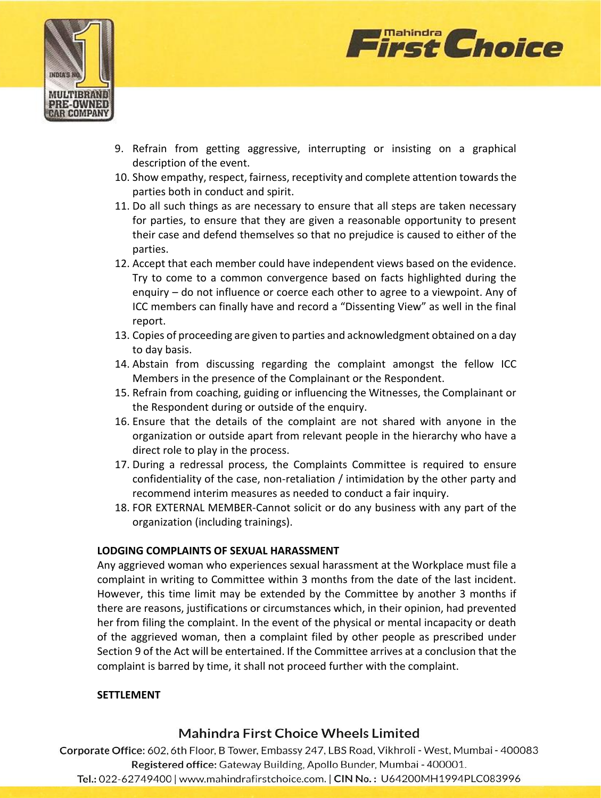



- 9. Refrain from getting aggressive, interrupting or insisting on a graphical description of the event.
- 10. Show empathy, respect, fairness, receptivity and complete attention towards the parties both in conduct and spirit.
- 11. Do all such things as are necessary to ensure that all steps are taken necessary for parties, to ensure that they are given a reasonable opportunity to present their case and defend themselves so that no prejudice is caused to either of the parties.
- 12. Accept that each member could have independent views based on the evidence. Try to come to a common convergence based on facts highlighted during the enquiry – do not influence or coerce each other to agree to a viewpoint. Any of ICC members can finally have and record a "Dissenting View" as well in the final report.
- 13. Copies of proceeding are given to parties and acknowledgment obtained on a day to day basis.
- 14. Abstain from discussing regarding the complaint amongst the fellow ICC Members in the presence of the Complainant or the Respondent.
- 15. Refrain from coaching, guiding or influencing the Witnesses, the Complainant or the Respondent during or outside of the enquiry.
- 16. Ensure that the details of the complaint are not shared with anyone in the organization or outside apart from relevant people in the hierarchy who have a direct role to play in the process.
- 17. During a redressal process, the Complaints Committee is required to ensure confidentiality of the case, non-retaliation / intimidation by the other party and recommend interim measures as needed to conduct a fair inquiry.
- 18. FOR EXTERNAL MEMBER-Cannot solicit or do any business with any part of the organization (including trainings).

## **LODGING COMPLAINTS OF SEXUAL HARASSMENT**

Any aggrieved woman who experiences sexual harassment at the Workplace must file a complaint in writing to Committee within 3 months from the date of the last incident. However, this time limit may be extended by the Committee by another 3 months if there are reasons, justifications or circumstances which, in their opinion, had prevented her from filing the complaint. In the event of the physical or mental incapacity or death of the aggrieved woman, then a complaint filed by other people as prescribed under Section 9 of the Act will be entertained. If the Committee arrives at a conclusion that the complaint is barred by time, it shall not proceed further with the complaint.

## **SETTLEMENT**

# Mahindra First Choice Wheels Limited

Corporate Office: 602, 6th Floor, B Tower, Embassy 247, LBS Road, Vikhroli - West, Mumbai - 400083 Registered office: Gateway Building, Apollo Bunder, Mumbai - 400001.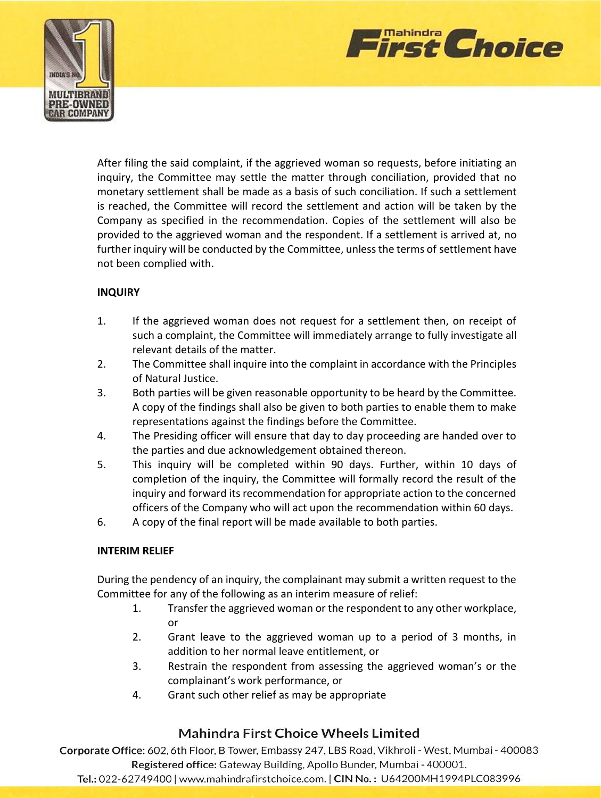



After filing the said complaint, if the aggrieved woman so requests, before initiating an inquiry, the Committee may settle the matter through conciliation, provided that no monetary settlement shall be made as a basis of such conciliation. If such a settlement is reached, the Committee will record the settlement and action will be taken by the Company as specified in the recommendation. Copies of the settlement will also be provided to the aggrieved woman and the respondent. If a settlement is arrived at, no further inquiry will be conducted by the Committee, unless the terms of settlement have not been complied with.

### **INQUIRY**

- 1. If the aggrieved woman does not request for a settlement then, on receipt of such a complaint, the Committee will immediately arrange to fully investigate all relevant details of the matter.
- 2. The Committee shall inquire into the complaint in accordance with the Principles of Natural Justice.
- 3. Both parties will be given reasonable opportunity to be heard by the Committee. A copy of the findings shall also be given to both parties to enable them to make representations against the findings before the Committee.
- 4. The Presiding officer will ensure that day to day proceeding are handed over to the parties and due acknowledgement obtained thereon.
- 5. This inquiry will be completed within 90 days. Further, within 10 days of completion of the inquiry, the Committee will formally record the result of the inquiry and forward its recommendation for appropriate action to the concerned officers of the Company who will act upon the recommendation within 60 days.
- 6. A copy of the final report will be made available to both parties.

#### **INTERIM RELIEF**

During the pendency of an inquiry, the complainant may submit a written request to the Committee for any of the following as an interim measure of relief:

- 1. Transfer the aggrieved woman or the respondent to any other workplace, or
- 2. Grant leave to the aggrieved woman up to a period of 3 months, in addition to her normal leave entitlement, or
- 3. Restrain the respondent from assessing the aggrieved woman's or the complainant's work performance, or
- 4. Grant such other relief as may be appropriate

# Mahindra First Choice Wheels Limited

Corporate Office: 602, 6th Floor, B Tower, Embassy 247, LBS Road, Vikhroli - West, Mumbai - 400083 Registered office: Gateway Building, Apollo Bunder, Mumbai - 400001.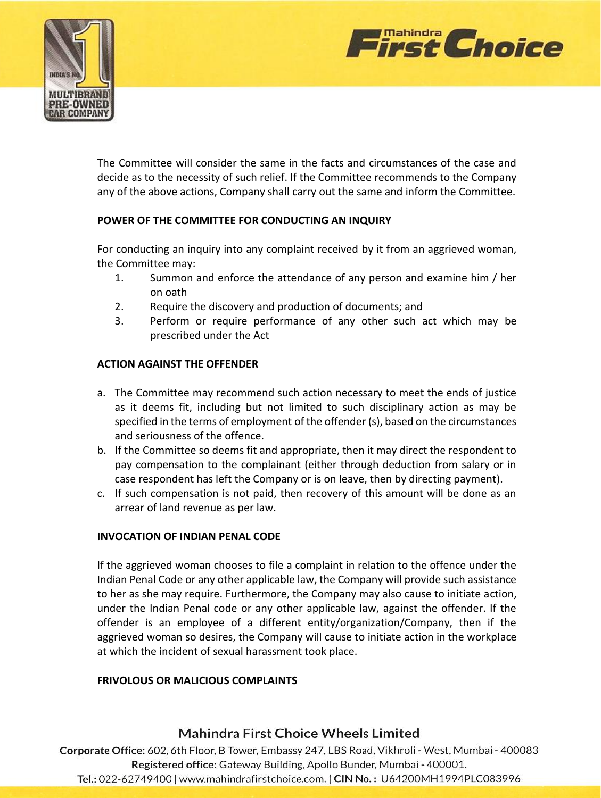



The Committee will consider the same in the facts and circumstances of the case and decide as to the necessity of such relief. If the Committee recommends to the Company any of the above actions, Company shall carry out the same and inform the Committee.

### **POWER OF THE COMMITTEE FOR CONDUCTING AN INQUIRY**

For conducting an inquiry into any complaint received by it from an aggrieved woman, the Committee may:

- 1. Summon and enforce the attendance of any person and examine him / her on oath
- 2. Require the discovery and production of documents; and
- 3. Perform or require performance of any other such act which may be prescribed under the Act

### **ACTION AGAINST THE OFFENDER**

- a. The Committee may recommend such action necessary to meet the ends of justice as it deems fit, including but not limited to such disciplinary action as may be specified in the terms of employment of the offender (s), based on the circumstances and seriousness of the offence.
- b. If the Committee so deems fit and appropriate, then it may direct the respondent to pay compensation to the complainant (either through deduction from salary or in case respondent has left the Company or is on leave, then by directing payment).
- c. If such compensation is not paid, then recovery of this amount will be done as an arrear of land revenue as per law.

### **INVOCATION OF INDIAN PENAL CODE**

If the aggrieved woman chooses to file a complaint in relation to the offence under the Indian Penal Code or any other applicable law, the Company will provide such assistance to her as she may require. Furthermore, the Company may also cause to initiate action, under the Indian Penal code or any other applicable law, against the offender. If the offender is an employee of a different entity/organization/Company, then if the aggrieved woman so desires, the Company will cause to initiate action in the workplace at which the incident of sexual harassment took place.

### **FRIVOLOUS OR MALICIOUS COMPLAINTS**

## Mahindra First Choice Wheels Limited

Corporate Office: 602, 6th Floor, B Tower, Embassy 247, LBS Road, Vikhroli - West, Mumbai - 400083 Registered office: Gateway Building, Apollo Bunder, Mumbai - 400001.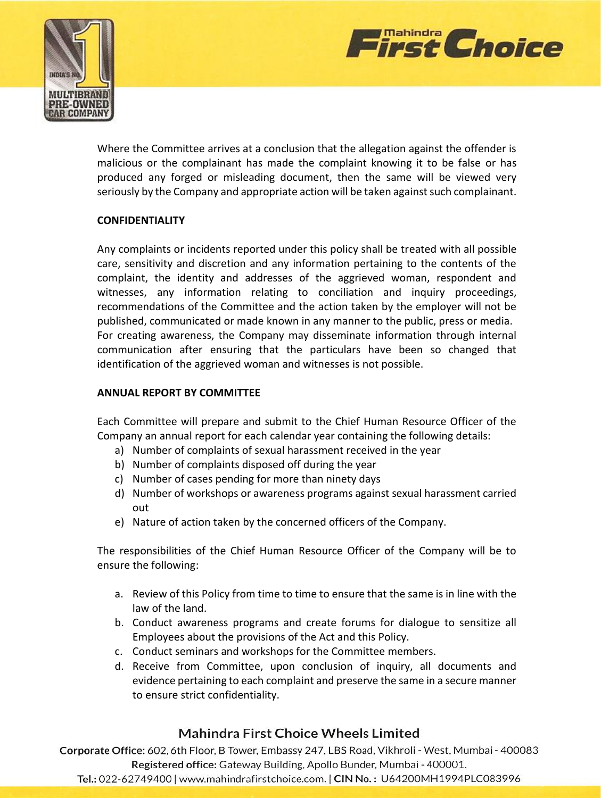



Where the Committee arrives at a conclusion that the allegation against the offender is malicious or the complainant has made the complaint knowing it to be false or has produced any forged or misleading document, then the same will be viewed very seriously by the Company and appropriate action will be taken against such complainant.

### **CONFIDENTIALITY**

Any complaints or incidents reported under this policy shall be treated with all possible care, sensitivity and discretion and any information pertaining to the contents of the complaint, the identity and addresses of the aggrieved woman, respondent and witnesses, any information relating to conciliation and inquiry proceedings, recommendations of the Committee and the action taken by the employer will not be published, communicated or made known in any manner to the public, press or media. For creating awareness, the Company may disseminate information through internal communication after ensuring that the particulars have been so changed that identification of the aggrieved woman and witnesses is not possible.

### **ANNUAL REPORT BY COMMITTEE**

Each Committee will prepare and submit to the Chief Human Resource Officer of the Company an annual report for each calendar year containing the following details:

- a) Number of complaints of sexual harassment received in the year
- b) Number of complaints disposed off during the year
- c) Number of cases pending for more than ninety days
- d) Number of workshops or awareness programs against sexual harassment carried out
- e) Nature of action taken by the concerned officers of the Company.

The responsibilities of the Chief Human Resource Officer of the Company will be to ensure the following:

- a. Review of this Policy from time to time to ensure that the same is in line with the law of the land.
- b. Conduct awareness programs and create forums for dialogue to sensitize all Employees about the provisions of the Act and this Policy.
- c. Conduct seminars and workshops for the Committee members.
- d. Receive from Committee, upon conclusion of inquiry, all documents and evidence pertaining to each complaint and preserve the same in a secure manner to ensure strict confidentiality.

# Mahindra First Choice Wheels Limited

Corporate Office: 602, 6th Floor, B Tower, Embassy 247, LBS Road, Vikhroli - West, Mumbai - 400083 Registered office: Gateway Building, Apollo Bunder, Mumbai - 400001.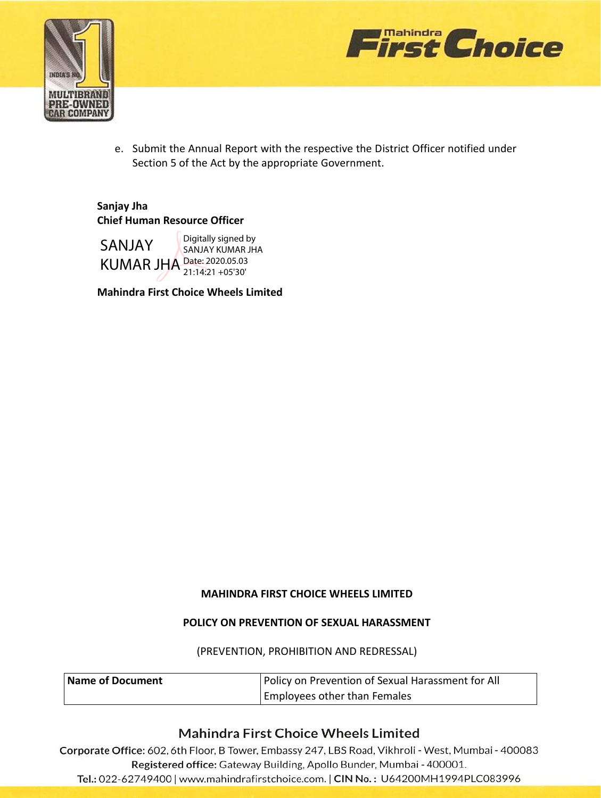



e. Submit the Annual Report with the respective the District Officer notified under Section 5 of the Act by the appropriate Government.

# **Sanjay Jha Chief Human Resource Officer**

SANJAY KUMAR JHA Date: 2020.05.03 Digitally signed by SANJAY KUMAR JHA 21:14:21 +05'30'

**Mahindra First Choice Wheels Limited**

### **MAHINDRA FIRST CHOICE WHEELS LIMITED**

### **POLICY ON PREVENTION OF SEXUAL HARASSMENT**

#### (PREVENTION, PROHIBITION AND REDRESSAL)

| Name of Document | Policy on Prevention of Sexual Harassment for All |
|------------------|---------------------------------------------------|
|                  | <b>Employees other than Females</b>               |

# **Mahindra First Choice Wheels Limited**

Corporate Office: 602, 6th Floor, B Tower, Embassy 247, LBS Road, Vikhroli - West, Mumbai - 400083 Registered office: Gateway Building, Apollo Bunder, Mumbai - 400001.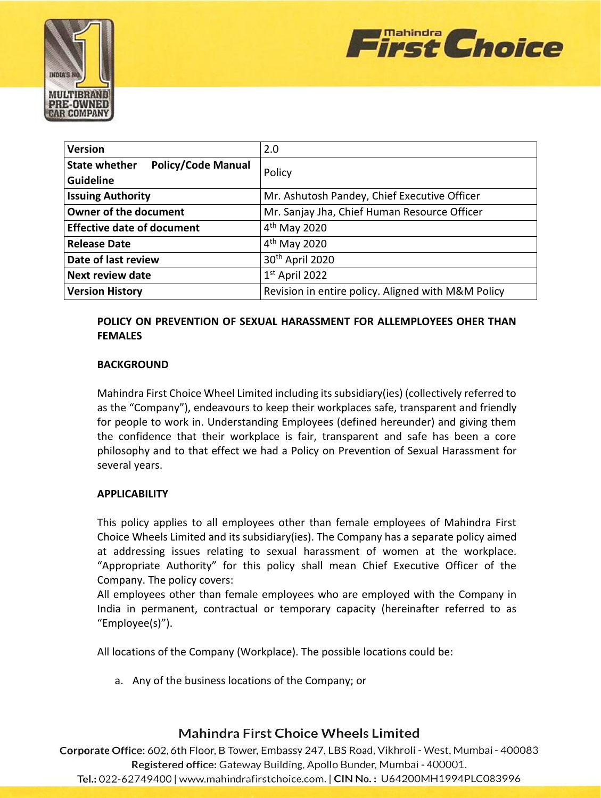



| <b>Version</b>                                                        | 2.0                                                |
|-----------------------------------------------------------------------|----------------------------------------------------|
| <b>State whether</b><br><b>Policy/Code Manual</b><br><b>Guideline</b> | Policy                                             |
| <b>Issuing Authority</b>                                              | Mr. Ashutosh Pandey, Chief Executive Officer       |
| <b>Owner of the document</b>                                          | Mr. Sanjay Jha, Chief Human Resource Officer       |
| <b>Effective date of document</b>                                     | $4th$ May 2020                                     |
| <b>Release Date</b>                                                   | 4 <sup>th</sup> May 2020                           |
| Date of last review                                                   | 30th April 2020                                    |
| <b>Next review date</b>                                               | $1st$ April 2022                                   |
| <b>Version History</b>                                                | Revision in entire policy. Aligned with M&M Policy |

## **POLICY ON PREVENTION OF SEXUAL HARASSMENT FOR ALLEMPLOYEES OHER THAN FEMALES**

### **BACKGROUND**

Mahindra First Choice Wheel Limited including its subsidiary(ies) (collectively referred to as the "Company"), endeavours to keep their workplaces safe, transparent and friendly for people to work in. Understanding Employees (defined hereunder) and giving them the confidence that their workplace is fair, transparent and safe has been a core philosophy and to that effect we had a Policy on Prevention of Sexual Harassment for several years.

### **APPLICABILITY**

This policy applies to all employees other than female employees of Mahindra First Choice Wheels Limited and its subsidiary(ies). The Company has a separate policy aimed at addressing issues relating to sexual harassment of women at the workplace. "Appropriate Authority" for this policy shall mean Chief Executive Officer of the Company. The policy covers:

All employees other than female employees who are employed with the Company in India in permanent, contractual or temporary capacity (hereinafter referred to as "Employee(s)").

All locations of the Company (Workplace). The possible locations could be:

a. Any of the business locations of the Company; or

# Mahindra First Choice Wheels Limited

Corporate Office: 602, 6th Floor, B Tower, Embassy 247, LBS Road, Vikhroli - West, Mumbai - 400083 Registered office: Gateway Building, Apollo Bunder, Mumbai - 400001.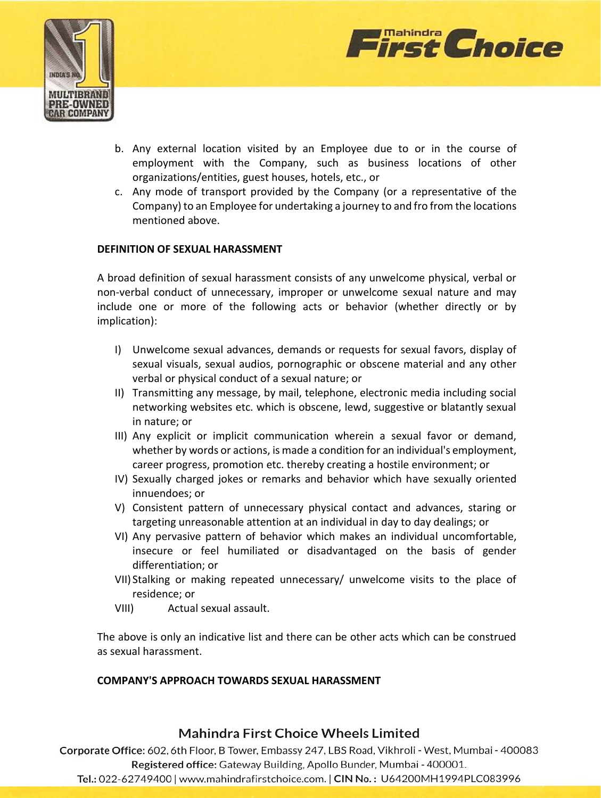



- b. Any external location visited by an Employee due to or in the course of employment with the Company, such as business locations of other organizations/entities, guest houses, hotels, etc., or
- c. Any mode of transport provided by the Company (or a representative of the Company) to an Employee for undertaking a journey to and fro from the locations mentioned above.

### **DEFINITION OF SEXUAL HARASSMENT**

A broad definition of sexual harassment consists of any unwelcome physical, verbal or non-verbal conduct of unnecessary, improper or unwelcome sexual nature and may include one or more of the following acts or behavior (whether directly or by implication):

- I) Unwelcome sexual advances, demands or requests for sexual favors, display of sexual visuals, sexual audios, pornographic or obscene material and any other verbal or physical conduct of a sexual nature; or
- II) Transmitting any message, by mail, telephone, electronic media including social networking websites etc. which is obscene, lewd, suggestive or blatantly sexual in nature; or
- III) Any explicit or implicit communication wherein a sexual favor or demand, whether by words or actions, is made a condition for an individual's employment, career progress, promotion etc. thereby creating a hostile environment; or
- IV) Sexually charged jokes or remarks and behavior which have sexually oriented innuendoes; or
- V) Consistent pattern of unnecessary physical contact and advances, staring or targeting unreasonable attention at an individual in day to day dealings; or
- VI) Any pervasive pattern of behavior which makes an individual uncomfortable, insecure or feel humiliated or disadvantaged on the basis of gender differentiation; or
- VII) Stalking or making repeated unnecessary/ unwelcome visits to the place of residence; or
- VIII) Actual sexual assault.

The above is only an indicative list and there can be other acts which can be construed as sexual harassment.

### **COMPANY'S APPROACH TOWARDS SEXUAL HARASSMENT**

## Mahindra First Choice Wheels Limited

Corporate Office: 602, 6th Floor, B Tower, Embassy 247, LBS Road, Vikhroli - West, Mumbai - 400083 Registered office: Gateway Building, Apollo Bunder, Mumbai - 400001.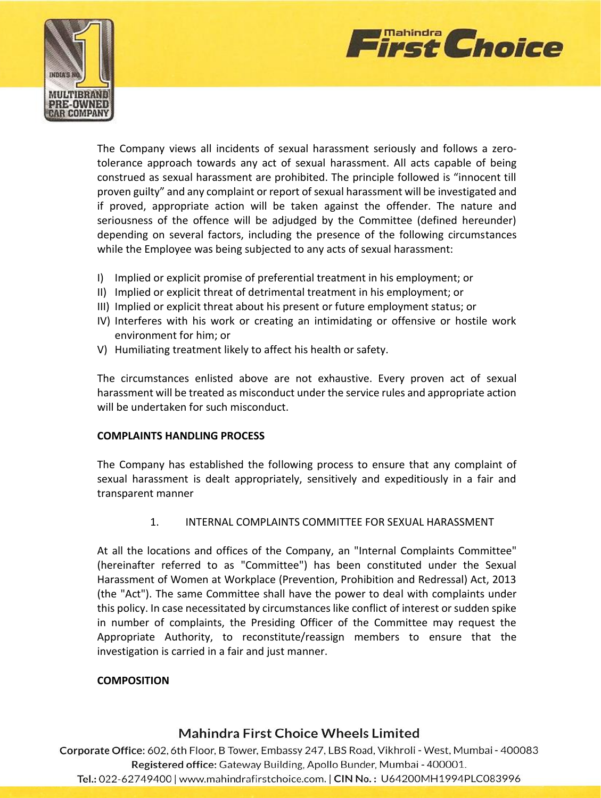



The Company views all incidents of sexual harassment seriously and follows a zerotolerance approach towards any act of sexual harassment. All acts capable of being construed as sexual harassment are prohibited. The principle followed is "innocent till proven guilty" and any complaint or report of sexual harassment will be investigated and if proved, appropriate action will be taken against the offender. The nature and seriousness of the offence will be adjudged by the Committee (defined hereunder) depending on several factors, including the presence of the following circumstances while the Employee was being subjected to any acts of sexual harassment:

- I) Implied or explicit promise of preferential treatment in his employment; or
- II) Implied or explicit threat of detrimental treatment in his employment; or
- III) Implied or explicit threat about his present or future employment status; or
- IV) Interferes with his work or creating an intimidating or offensive or hostile work environment for him; or
- V) Humiliating treatment likely to affect his health or safety.

The circumstances enlisted above are not exhaustive. Every proven act of sexual harassment will be treated as misconduct under the service rules and appropriate action will be undertaken for such misconduct.

#### **COMPLAINTS HANDLING PROCESS**

The Company has established the following process to ensure that any complaint of sexual harassment is dealt appropriately, sensitively and expeditiously in a fair and transparent manner

1. INTERNAL COMPLAINTS COMMITTEE FOR SEXUAL HARASSMENT

At all the locations and offices of the Company, an "Internal Complaints Committee" (hereinafter referred to as "Committee") has been constituted under the Sexual Harassment of Women at Workplace (Prevention, Prohibition and Redressal) Act, 2013 (the "Act"). The same Committee shall have the power to deal with complaints under this policy. In case necessitated by circumstances like conflict of interest or sudden spike in number of complaints, the Presiding Officer of the Committee may request the Appropriate Authority, to reconstitute/reassign members to ensure that the investigation is carried in a fair and just manner.

### **COMPOSITION**

## Mahindra First Choice Wheels Limited

Corporate Office: 602, 6th Floor, B Tower, Embassy 247, LBS Road, Vikhroli - West, Mumbai - 400083 Registered office: Gateway Building, Apollo Bunder, Mumbai - 400001. Tel.: 022-62749400 | www.mahindrafirstchoice.com. | CIN No.: U64200MH1994PLC083996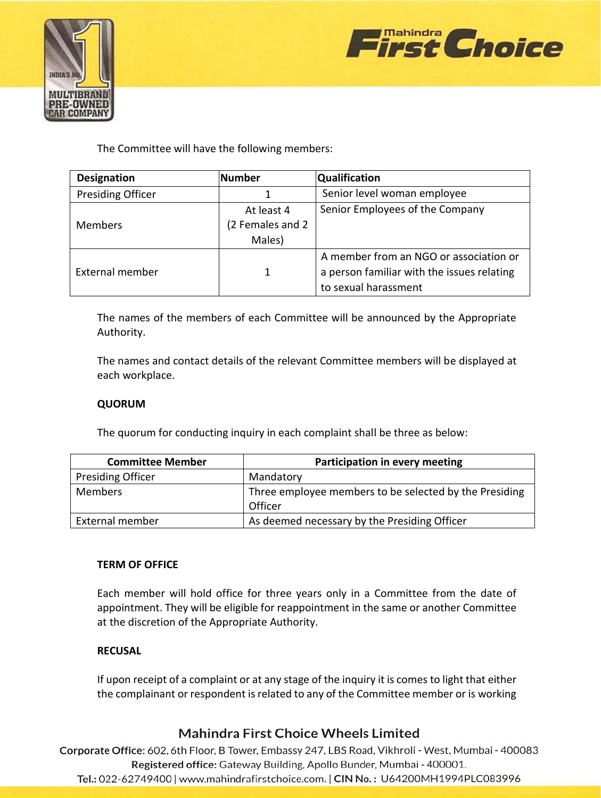



The Committee will have the following members:

| <b>Designation</b>       | <b>Number</b>    | <b>Qualification</b>                       |
|--------------------------|------------------|--------------------------------------------|
| <b>Presiding Officer</b> |                  | Senior level woman employee                |
| <b>Members</b>           | At least 4       | Senior Employees of the Company            |
|                          | (2 Females and 2 |                                            |
|                          | Males)           |                                            |
| External member          |                  | A member from an NGO or association or     |
|                          | 1                | a person familiar with the issues relating |
|                          |                  | to sexual harassment                       |

The names of the members of each Committee will be announced by the Appropriate Authority.

The names and contact details of the relevant Committee members will be displayed at each workplace.

### **QUORUM**

The quorum for conducting inquiry in each complaint shall be three as below:

| <b>Committee Member</b>  | Participation in every meeting                                    |
|--------------------------|-------------------------------------------------------------------|
| <b>Presiding Officer</b> | Mandatory                                                         |
| <b>Members</b>           | Three employee members to be selected by the Presiding<br>Officer |
| External member          | As deemed necessary by the Presiding Officer                      |

### **TERM OF OFFICE**

Each member will hold office for three years only in a Committee from the date of appointment. They will be eligible for reappointment in the same or another Committee at the discretion of the Appropriate Authority.

### **RECUSAL**

If upon receipt of a complaint or at any stage of the inquiry it is comes to light that either the complainant or respondent is related to any of the Committee member or is working

# **Mahindra First Choice Wheels Limited**

Corporate Office: 602, 6th Floor, B Tower, Embassy 247, LBS Road, Vikhroli - West, Mumbai - 400083 Registered office: Gateway Building, Apollo Bunder, Mumbai - 400001.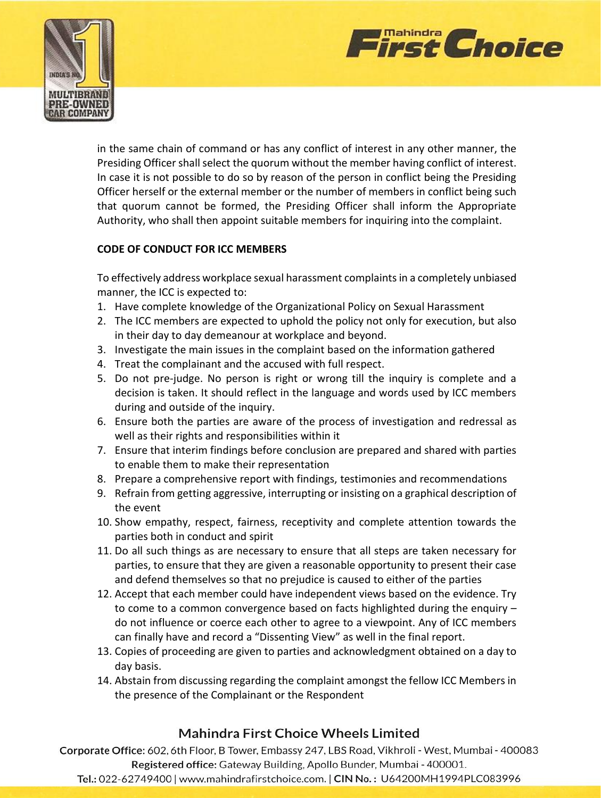



in the same chain of command or has any conflict of interest in any other manner, the Presiding Officer shall select the quorum without the member having conflict of interest. In case it is not possible to do so by reason of the person in conflict being the Presiding Officer herself or the external member or the number of members in conflict being such that quorum cannot be formed, the Presiding Officer shall inform the Appropriate Authority, who shall then appoint suitable members for inquiring into the complaint.

### **CODE OF CONDUCT FOR ICC MEMBERS**

To effectively address workplace sexual harassment complaints in a completely unbiased manner, the ICC is expected to:

- 1. Have complete knowledge of the Organizational Policy on Sexual Harassment
- 2. The ICC members are expected to uphold the policy not only for execution, but also in their day to day demeanour at workplace and beyond.
- 3. Investigate the main issues in the complaint based on the information gathered
- 4. Treat the complainant and the accused with full respect.
- 5. Do not pre-judge. No person is right or wrong till the inquiry is complete and a decision is taken. It should reflect in the language and words used by ICC members during and outside of the inquiry.
- 6. Ensure both the parties are aware of the process of investigation and redressal as well as their rights and responsibilities within it
- 7. Ensure that interim findings before conclusion are prepared and shared with parties to enable them to make their representation
- 8. Prepare a comprehensive report with findings, testimonies and recommendations
- 9. Refrain from getting aggressive, interrupting or insisting on a graphical description of the event
- 10. Show empathy, respect, fairness, receptivity and complete attention towards the parties both in conduct and spirit
- 11. Do all such things as are necessary to ensure that all steps are taken necessary for parties, to ensure that they are given a reasonable opportunity to present their case and defend themselves so that no prejudice is caused to either of the parties
- 12. Accept that each member could have independent views based on the evidence. Try to come to a common convergence based on facts highlighted during the enquiry – do not influence or coerce each other to agree to a viewpoint. Any of ICC members can finally have and record a "Dissenting View" as well in the final report.
- 13. Copies of proceeding are given to parties and acknowledgment obtained on a day to day basis.
- 14. Abstain from discussing regarding the complaint amongst the fellow ICC Members in the presence of the Complainant or the Respondent

# **Mahindra First Choice Wheels Limited**

Corporate Office: 602, 6th Floor, B Tower, Embassy 247, LBS Road, Vikhroli - West, Mumbai - 400083 Registered office: Gateway Building, Apollo Bunder, Mumbai - 400001.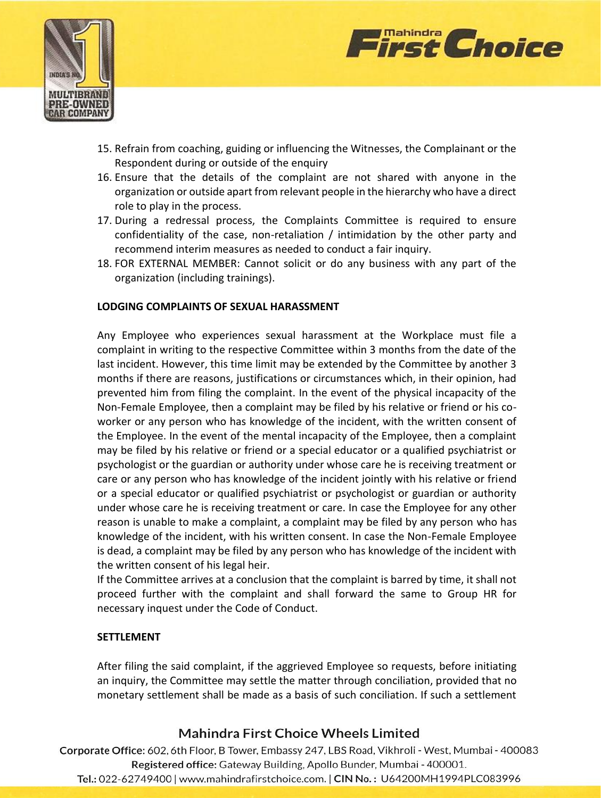



- 15. Refrain from coaching, guiding or influencing the Witnesses, the Complainant or the Respondent during or outside of the enquiry
- 16. Ensure that the details of the complaint are not shared with anyone in the organization or outside apart from relevant people in the hierarchy who have a direct role to play in the process.
- 17. During a redressal process, the Complaints Committee is required to ensure confidentiality of the case, non-retaliation / intimidation by the other party and recommend interim measures as needed to conduct a fair inquiry.
- 18. FOR EXTERNAL MEMBER: Cannot solicit or do any business with any part of the organization (including trainings).

### **LODGING COMPLAINTS OF SEXUAL HARASSMENT**

Any Employee who experiences sexual harassment at the Workplace must file a complaint in writing to the respective Committee within 3 months from the date of the last incident. However, this time limit may be extended by the Committee by another 3 months if there are reasons, justifications or circumstances which, in their opinion, had prevented him from filing the complaint. In the event of the physical incapacity of the Non-Female Employee, then a complaint may be filed by his relative or friend or his coworker or any person who has knowledge of the incident, with the written consent of the Employee. In the event of the mental incapacity of the Employee, then a complaint may be filed by his relative or friend or a special educator or a qualified psychiatrist or psychologist or the guardian or authority under whose care he is receiving treatment or care or any person who has knowledge of the incident jointly with his relative or friend or a special educator or qualified psychiatrist or psychologist or guardian or authority under whose care he is receiving treatment or care. In case the Employee for any other reason is unable to make a complaint, a complaint may be filed by any person who has knowledge of the incident, with his written consent. In case the Non-Female Employee is dead, a complaint may be filed by any person who has knowledge of the incident with the written consent of his legal heir.

If the Committee arrives at a conclusion that the complaint is barred by time, it shall not proceed further with the complaint and shall forward the same to Group HR for necessary inquest under the Code of Conduct.

#### **SETTLEMENT**

After filing the said complaint, if the aggrieved Employee so requests, before initiating an inquiry, the Committee may settle the matter through conciliation, provided that no monetary settlement shall be made as a basis of such conciliation. If such a settlement

## **Mahindra First Choice Wheels Limited**

Corporate Office: 602, 6th Floor, B Tower, Embassy 247, LBS Road, Vikhroli - West, Mumbai - 400083 Registered office: Gateway Building, Apollo Bunder, Mumbai - 400001.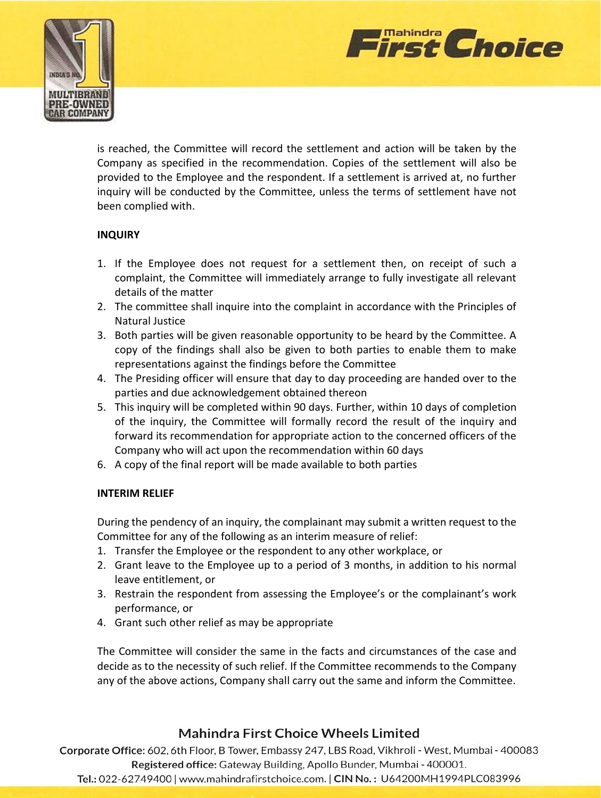



is reached, the Committee will record the settlement and action will be taken by the Company as specified in the recommendation. Copies of the settlement will also be provided to the Employee and the respondent. If a settlement is arrived at, no further inquiry will be conducted by the Committee, unless the terms of settlement have not been complied with.

### **INQUIRY**

- 1. If the Employee does not request for a settlement then, on receipt of such a complaint, the Committee will immediately arrange to fully investigate all relevant details of the matter
- 2. The committee shall inquire into the complaint in accordance with the Principles of Natural Justice
- 3. Both parties will be given reasonable opportunity to be heard by the Committee. A copy of the findings shall also be given to both parties to enable them to make representations against the findings before the Committee
- 4. The Presiding officer will ensure that day to day proceeding are handed over to the parties and due acknowledgement obtained thereon
- 5. This inquiry will be completed within 90 days. Further, within 10 days of completion of the inquiry, the Committee will formally record the result of the inquiry and forward its recommendation for appropriate action to the concerned officers of the Company who will act upon the recommendation within 60 days
- 6. A copy of the final report will be made available to both parties

### **INTERIM RELIEF**

During the pendency of an inquiry, the complainant may submit a written request to the Committee for any of the following as an interim measure of relief:

- 1. Transfer the Employee or the respondent to any other workplace, or
- 2. Grant leave to the Employee up to a period of 3 months, in addition to his normal leave entitlement, or
- 3. Restrain the respondent from assessing the Employee's or the complainant's work performance, or
- 4. Grant such other relief as may be appropriate

The Committee will consider the same in the facts and circumstances of the case and decide as to the necessity of such relief. If the Committee recommends to the Company any of the above actions, Company shall carry out the same and inform the Committee.

# **Mahindra First Choice Wheels Limited**

Corporate Office: 602, 6th Floor, B Tower, Embassy 247, LBS Road, Vikhroli - West, Mumbai - 400083 Registered office: Gateway Building, Apollo Bunder, Mumbai - 400001.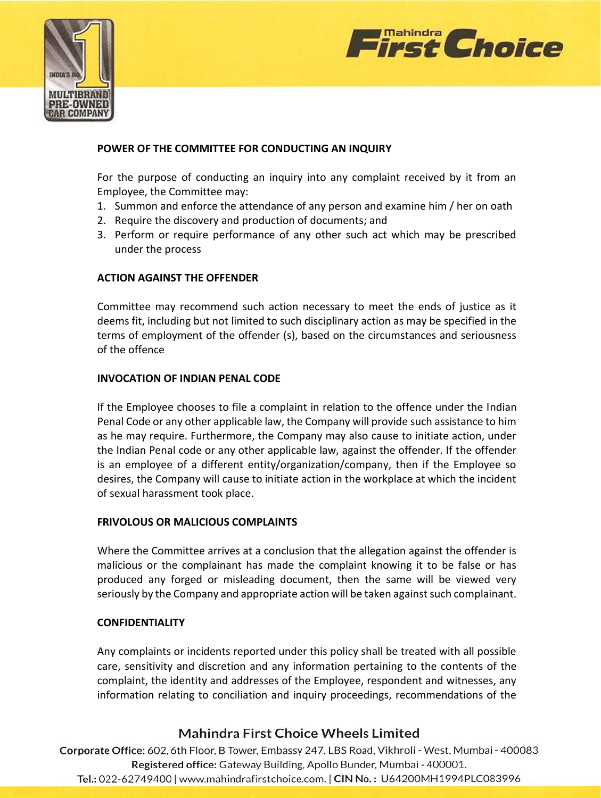



### **POWER OF THE COMMITTEE FOR CONDUCTING AN INQUIRY**

For the purpose of conducting an inquiry into any complaint received by it from an Employee, the Committee may:

- 1. Summon and enforce the attendance of any person and examine him / her on oath
- 2. Require the discovery and production of documents; and
- 3. Perform or require performance of any other such act which may be prescribed under the process

### **ACTION AGAINST THE OFFENDER**

Committee may recommend such action necessary to meet the ends of justice as it deems fit, including but not limited to such disciplinary action as may be specified in the terms of employment of the offender (s), based on the circumstances and seriousness of the offence

### **INVOCATION OF INDIAN PENAL CODE**

If the Employee chooses to file a complaint in relation to the offence under the Indian Penal Code or any other applicable law, the Company will provide such assistance to him as he may require. Furthermore, the Company may also cause to initiate action, under the Indian Penal code or any other applicable law, against the offender. If the offender is an employee of a different entity/organization/company, then if the Employee so desires, the Company will cause to initiate action in the workplace at which the incident of sexual harassment took place.

### **FRIVOLOUS OR MALICIOUS COMPLAINTS**

Where the Committee arrives at a conclusion that the allegation against the offender is malicious or the complainant has made the complaint knowing it to be false or has produced any forged or misleading document, then the same will be viewed very seriously by the Company and appropriate action will be taken against such complainant.

### **CONFIDENTIALITY**

Any complaints or incidents reported under this policy shall be treated with all possible care, sensitivity and discretion and any information pertaining to the contents of the complaint, the identity and addresses of the Employee, respondent and witnesses, any information relating to conciliation and inquiry proceedings, recommendations of the

# Mahindra First Choice Wheels Limited

Corporate Office: 602, 6th Floor, B Tower, Embassy 247, LBS Road, Vikhroli - West, Mumbai - 400083 Registered office: Gateway Building, Apollo Bunder, Mumbai - 400001. Tel.: 022-62749400 | www.mahindrafirstchoice.com. | CIN No.: U64200MH1994PLC083996